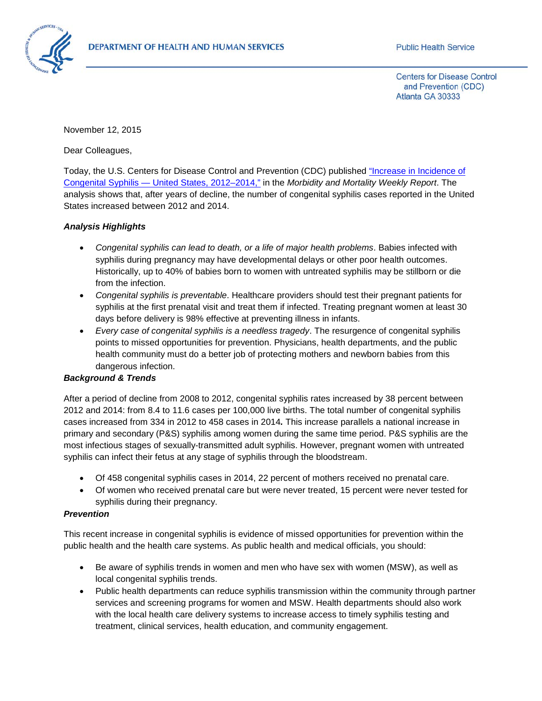

**Centers for Disease Control** and Prevention (CDC) Atlanta GA 30333

November 12, 2015

Dear Colleagues,

Today, the U.S. Centers for Disease Control and Prevention (CDC) published ["Increase in Incidence of](http://www.cdc.gov/mmwr/preview/mmwrhtml/mm6444a3.htm)  Congenital Syphilis — [United States, 2012–2014,"](http://www.cdc.gov/mmwr/preview/mmwrhtml/mm6444a3.htm) in the *Morbidity and Mortality Weekly Report*. The analysis shows that, after years of decline, the number of congenital syphilis cases reported in the United States increased between 2012 and 2014.

## *Analysis Highlights*

- *Congenital syphilis can lead to death, or a life of major health problems*. Babies infected with syphilis during pregnancy may have developmental delays or other poor health outcomes. Historically, up to 40% of babies born to women with untreated syphilis may be stillborn or die from the infection.
- *Congenital syphilis is preventable*. Healthcare providers should test their pregnant patients for syphilis at the first prenatal visit and treat them if infected. Treating pregnant women at least 30 days before delivery is 98% effective at preventing illness in infants.
- *Every case of congenital syphilis is a needless tragedy*. The resurgence of congenital syphilis points to missed opportunities for prevention. Physicians, health departments, and the public health community must do a better job of protecting mothers and newborn babies from this dangerous infection.

## *Background & Trends*

After a period of decline from 2008 to 2012, congenital syphilis rates increased by 38 percent between 2012 and 2014: from 8.4 to 11.6 cases per 100,000 live births. The total number of congenital syphilis cases increased from 334 in 2012 to 458 cases in 2014*.* This increase parallels a national increase in primary and secondary (P&S) syphilis among women during the same time period. P&S syphilis are the most infectious stages of sexually-transmitted adult syphilis. However, pregnant women with untreated syphilis can infect their fetus at any stage of syphilis through the bloodstream.

- Of 458 congenital syphilis cases in 2014, 22 percent of mothers received no prenatal care.
- Of women who received prenatal care but were never treated, 15 percent were never tested for syphilis during their pregnancy.

## *Prevention*

This recent increase in congenital syphilis is evidence of missed opportunities for prevention within the public health and the health care systems. As public health and medical officials, you should:

- Be aware of syphilis trends in women and men who have sex with women (MSW), as well as local congenital syphilis trends.
- Public health departments can reduce syphilis transmission within the community through partner services and screening programs for women and MSW. Health departments should also work with the local health care delivery systems to increase access to timely syphilis testing and treatment, clinical services, health education, and community engagement.